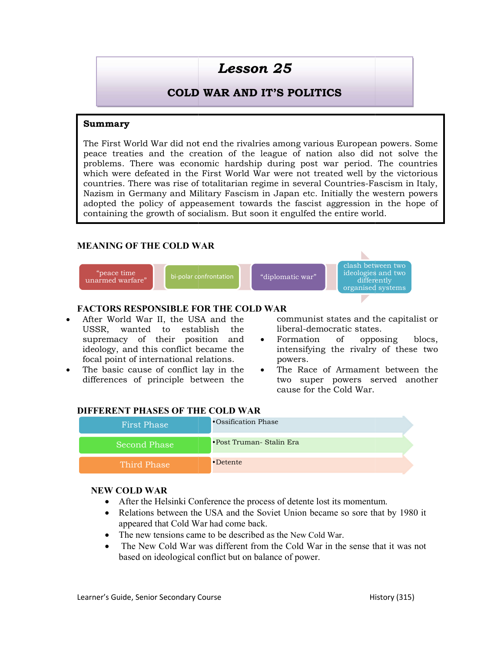# Lesson 25

# COLD WAR AND IT'S POLITICS COLD

#### Summary

The First World War did not end the rivalries among various European powers. Some peace treaties and the creation of the league of nation also did not solve the The First World War did not end the rivalries among various European powers. Some<br>peace treaties and the creation of the league of nation also did not solve the<br>problems. There was economic hardship during post war period. which were defeated in the First World War were not treated well by the victorious which were defeated in the First World War were not treated well by the victorious<br>countries. There was rise of totalitarian regime in several Countries-Fascism in Italy, Nazism in Germany and Military Fascism in Japan etc. Initially the western powers adopted the policy of appeasement towards the fascist aggression in the hope of containing the growth of socialism. But soon it engulfed the entire world. Germany and Military Fascism in Japan etc. Initially the western powers<br>e policy of appeasement towards the fascist aggression in the hope of<br>the growth of socialism. But soon it engulfed the entire world.

# MEANING OF THE COLD WAR



#### FACTORS RESPONSIBLE FOR THE COLD WAR

- After World War II, the USA and the USSR, wanted to establish the After World War II, the USA and the communist s<br>USSR, wanted to establish the liberal-demo<br>supremacy of their position and • Formation ideology, and this conflict became the focal point of international relations.
- The basic cause of conflict lay in the differences of principle between the

- Formation of opposing blocs, intensifying the rivalry of these two powers.
- The Race of Armament between the two super powers served another cause for the Cold War. ntensifying the rivalry of<br>owers.<br>he Race of Armament be<br>wo super powers serve

#### DIFFERENT PHASES OF THE COLD WAR

| MEANING OF THE COLD WAR                                                                                                                                                                                                            |                                                                                                                                                                                                                                                                                                  |
|------------------------------------------------------------------------------------------------------------------------------------------------------------------------------------------------------------------------------------|--------------------------------------------------------------------------------------------------------------------------------------------------------------------------------------------------------------------------------------------------------------------------------------------------|
| "peace time<br>bi-polar confrontation<br>unarmed warfare"                                                                                                                                                                          | clash between two<br>ideologies and two<br>"diplomatic war"<br>differently<br>organised systems                                                                                                                                                                                                  |
| FACTORS RESPONSIBLE FOR THE COLD WAR<br>After World War II, the USA and the                                                                                                                                                        |                                                                                                                                                                                                                                                                                                  |
| USSR, wanted to<br>establish<br>supremacy of their position<br>ideology, and this conflict became the<br>focal point of international relations.<br>The basic cause of conflict lay in the<br>differences of principle between the | communist states and the capitalist or<br>liberal-democratic states.<br>the<br>of<br>and<br>• Formation<br>opposing<br>blocs,<br>intensifying the rivalry of these two<br>powers.<br>The Race of Armament between the<br>$\bullet$<br>two super powers served another<br>cause for the Cold War. |
| <b>DIFFERENT PHASES OF THE COLD WAR</b>                                                                                                                                                                                            | •Ossification Phase                                                                                                                                                                                                                                                                              |
| <b>First Phase</b>                                                                                                                                                                                                                 |                                                                                                                                                                                                                                                                                                  |
| <b>Second Phase</b>                                                                                                                                                                                                                | •Post Truman- Stalin Era                                                                                                                                                                                                                                                                         |
| <b>Third Phase</b>                                                                                                                                                                                                                 | •Detente                                                                                                                                                                                                                                                                                         |
| <b>NEW COLD WAR</b>                                                                                                                                                                                                                |                                                                                                                                                                                                                                                                                                  |

#### NEW COLD WAR

- After the Helsinki Conference the process of detente lost its momentum.
- Relations between the USA and the Soviet Union became so sore that by 1980 it appeared that Cold War had come back.
- The new tensions came to be described as the New Cold War.
- The New Cold War was different from the Cold War in the sense that it was not based on ideological conflict but on balance of power.